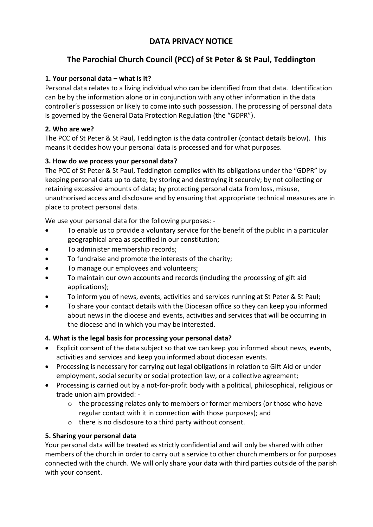# **DATA PRIVACY NOTICE**

# **The Parochial Church Council (PCC) of St Peter & St Paul, Teddington**

# **1. Your personal data – what is it?**

Personal data relates to a living individual who can be identified from that data. Identification can be by the information alone or in conjunction with any other information in the data controller's possession or likely to come into such possession. The processing of personal data is governed by the General Data Protection Regulation (the "GDPR").

# **2. Who are we?**

The PCC of St Peter & St Paul, Teddington is the data controller (contact details below). This means it decides how your personal data is processed and for what purposes.

# **3. How do we process your personal data?**

The PCC of St Peter & St Paul, Teddington complies with its obligations under the "GDPR" by keeping personal data up to date; by storing and destroying it securely; by not collecting or retaining excessive amounts of data; by protecting personal data from loss, misuse, unauthorised access and disclosure and by ensuring that appropriate technical measures are in place to protect personal data.

We use your personal data for the following purposes: -

- To enable us to provide a voluntary service for the benefit of the public in a particular geographical area as specified in our constitution;
- To administer membership records;
- To fundraise and promote the interests of the charity;
- To manage our employees and volunteers;
- To maintain our own accounts and records (including the processing of gift aid applications);
- To inform you of news, events, activities and services running at St Peter & St Paul;
- To share your contact details with the Diocesan office so they can keep you informed about news in the diocese and events, activities and services that will be occurring in the diocese and in which you may be interested.

#### **4. What is the legal basis for processing your personal data?**

- Explicit consent of the data subject so that we can keep you informed about news, events, activities and services and keep you informed about diocesan events.
- Processing is necessary for carrying out legal obligations in relation to Gift Aid or under employment, social security or social protection law, or a collective agreement;
- Processing is carried out by a not-for-profit body with a political, philosophical, religious or trade union aim provided: -
	- $\circ$  the processing relates only to members or former members (or those who have regular contact with it in connection with those purposes); and
	- o there is no disclosure to a third party without consent.

#### **5. Sharing your personal data**

Your personal data will be treated as strictly confidential and will only be shared with other members of the church in order to carry out a service to other church members or for purposes connected with the church. We will only share your data with third parties outside of the parish with your consent.